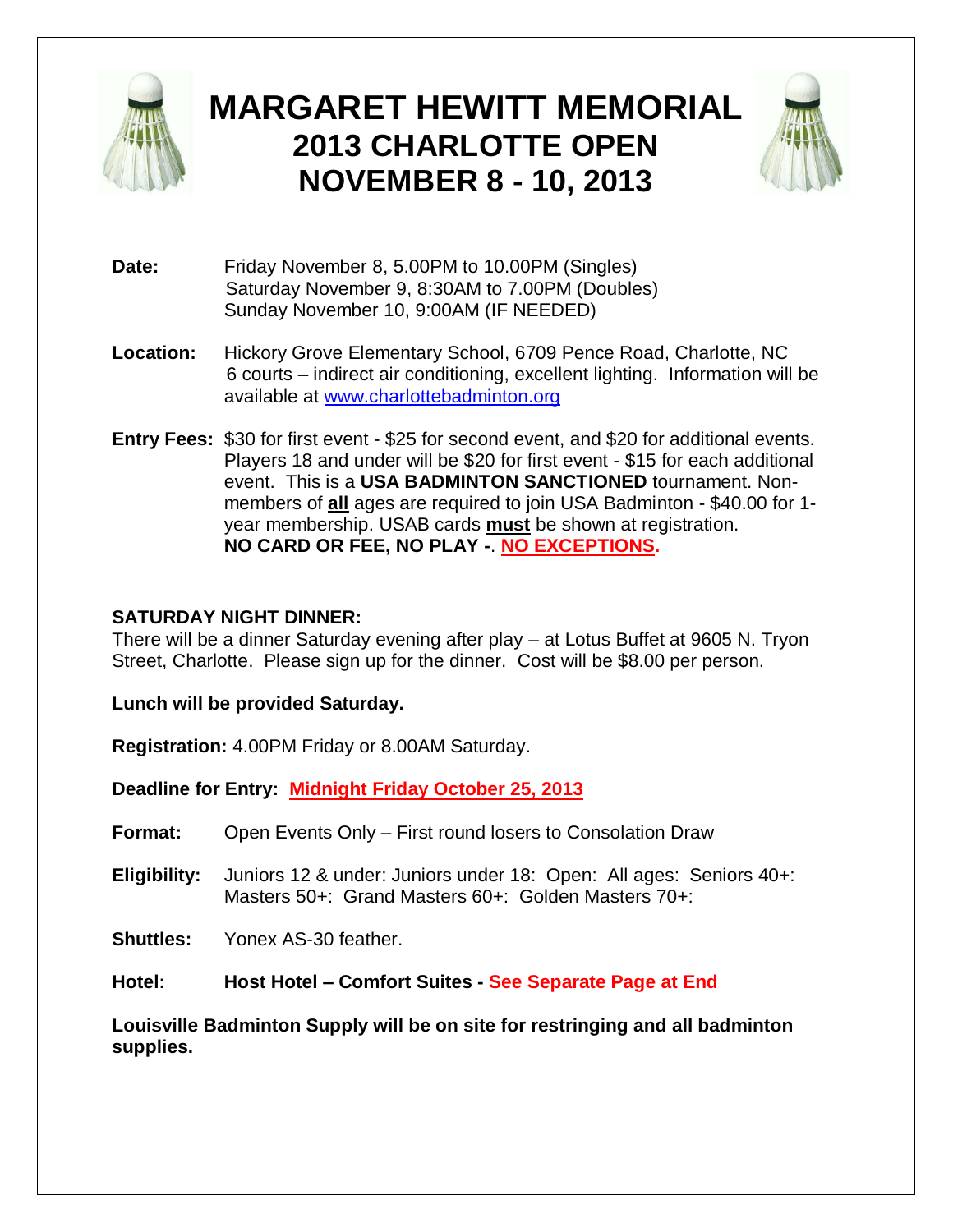

# **MARGARET HEWITT MEMORIAL 2013 CHARLOTTE OPEN NOVEMBER 8 - 10, 2013**



- **Date:** Friday November 8, 5.00PM to 10.00PM (Singles) Saturday November 9, 8:30AM to 7.00PM (Doubles) Sunday November 10, 9:00AM (IF NEEDED)
- **Location:** Hickory Grove Elementary School, 6709 Pence Road, Charlotte, NC 6 courts – indirect air conditioning, excellent lighting. Information will be available at [www.charlottebadminton.org](http://www.charlottebadminton.org/)
- **Entry Fees:** \$30 for first event \$25 for second event, and \$20 for additional events. Players 18 and under will be \$20 for first event - \$15 for each additional event. This is a **USA BADMINTON SANCTIONED** tournament. Nonmembers of **all** ages are required to join USA Badminton - \$40.00 for 1 year membership. USAB cards **must** be shown at registration. **NO CARD OR FEE, NO PLAY -**. **NO EXCEPTIONS.**

#### **SATURDAY NIGHT DINNER:**

There will be a dinner Saturday evening after play – at Lotus Buffet at 9605 N. Tryon Street, Charlotte. Please sign up for the dinner. Cost will be \$8.00 per person.

**Lunch will be provided Saturday.**

**Registration:** 4.00PM Friday or 8.00AM Saturday.

**Deadline for Entry: Midnight Friday October 25, 2013**

**Format:** Open Events Only – First round losers to Consolation Draw

**Eligibility:** Juniors 12 & under: Juniors under 18: Open: All ages: Seniors 40+: Masters 50+: Grand Masters 60+: Golden Masters 70+:

**Shuttles:** Yonex AS-30 feather.

**Hotel: Host Hotel – Comfort Suites - See Separate Page at End**

**Louisville Badminton Supply will be on site for restringing and all badminton supplies.**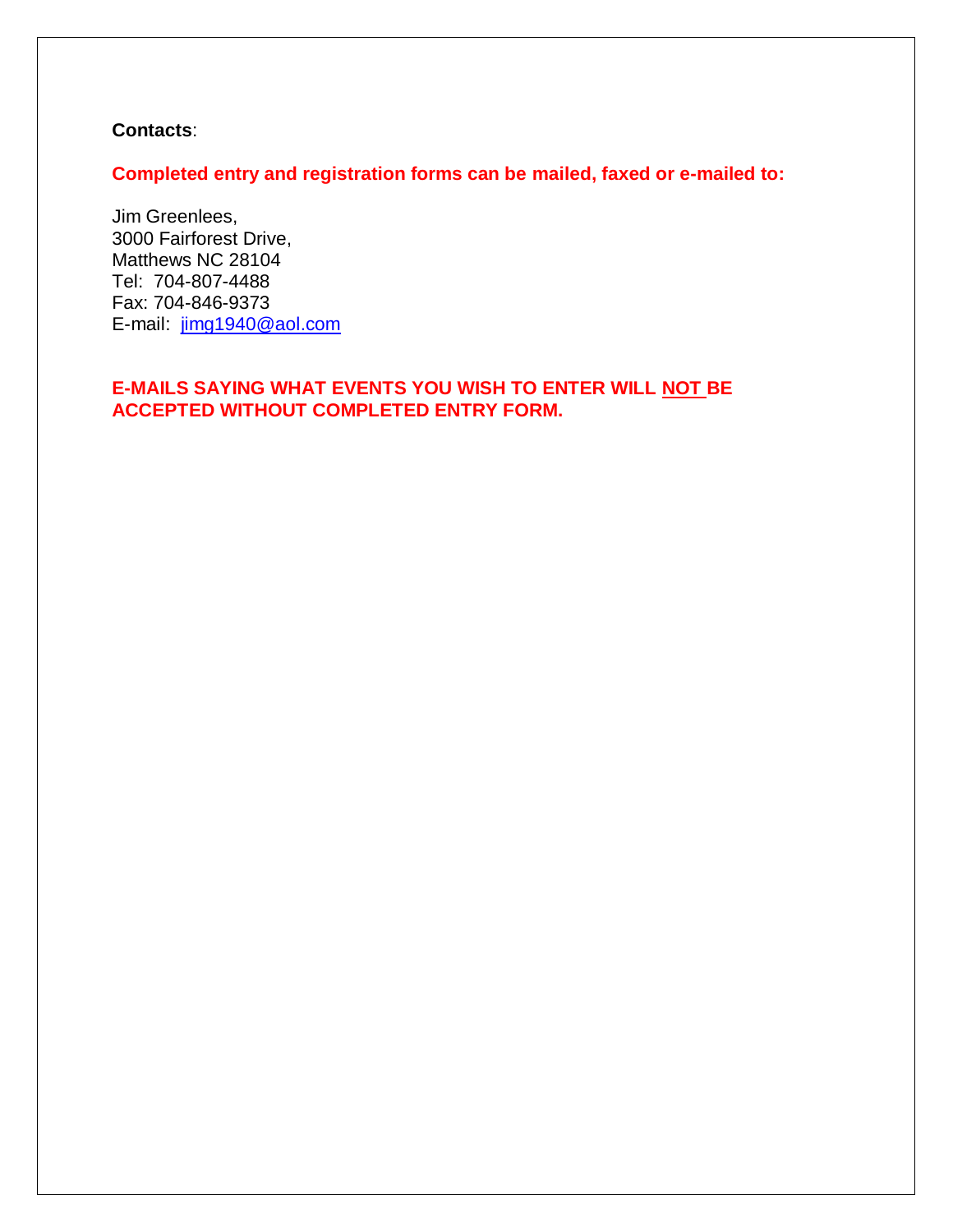#### **Contacts**:

**Completed entry and registration forms can be mailed, faxed or e-mailed to:**

Jim Greenlees, 3000 Fairforest Drive, Matthews NC 28104 Tel: 704-807-4488 Fax: 704-846-9373 E-mail: [jimg1940@aol.com](mailto:jimg1940@aol.com)

### **E-MAILS SAYING WHAT EVENTS YOU WISH TO ENTER WILL NOT BE ACCEPTED WITHOUT COMPLETED ENTRY FORM.**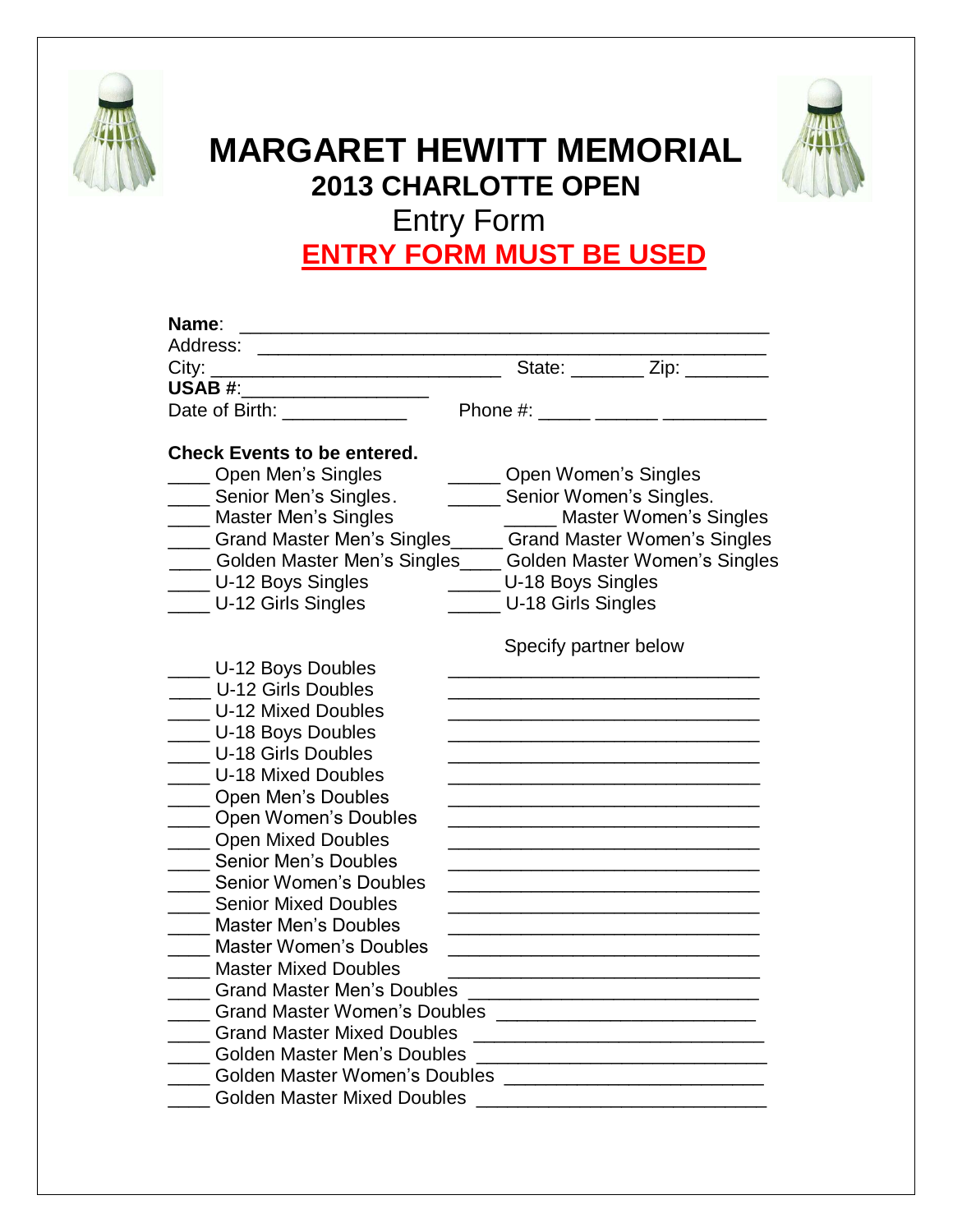



## **MARGARET HEWITT MEMORIAL 2013 CHARLOTTE OPEN**  Entry Form **ENTRY FORM MUST BE USED**

| USAB #: _____________________                                     |                                |                                                   |
|-------------------------------------------------------------------|--------------------------------|---------------------------------------------------|
| Date of Birth: _____________                                      |                                | Phone #: ______ ______ __________                 |
| <b>Check Events to be entered.</b>                                |                                |                                                   |
| Open Men's Singles                                                | Open Women's Singles           |                                                   |
| ___ Senior Men's Singles.                                         | ______ Senior Women's Singles. |                                                   |
| Master Men's Singles                                              |                                | _____ Master Women's Singles                      |
| ____ Grand Master Men's Singles_____ Grand Master Women's Singles |                                |                                                   |
| ___ Golden Master Men's Singles____ Golden Master Women's Singles |                                |                                                   |
| U-12 Boys Singles                                                 | ______ U-18 Boys Singles       |                                                   |
| U-12 Girls Singles                                                | U-18 Girls Singles             |                                                   |
|                                                                   | Specify partner below          |                                                   |
| __ U-12 Boys Doubles                                              |                                |                                                   |
| <b>U-12 Girls Doubles</b>                                         |                                |                                                   |
| <b>U-12 Mixed Doubles</b>                                         |                                |                                                   |
| U-18 Boys Doubles                                                 |                                |                                                   |
| U-18 Girls Doubles                                                |                                |                                                   |
| U-18 Mixed Doubles                                                |                                |                                                   |
| Open Men's Doubles                                                |                                |                                                   |
| Open Women's Doubles                                              |                                |                                                   |
| __ Open Mixed Doubles                                             |                                |                                                   |
| <b>Senior Men's Doubles</b>                                       |                                |                                                   |
| <b>Senior Women's Doubles</b>                                     |                                |                                                   |
| <b>Senior Mixed Doubles</b>                                       |                                |                                                   |
| <b>Master Men's Doubles</b>                                       |                                |                                                   |
| Master Women's Doubles                                            |                                |                                                   |
| <b>Master Mixed Doubles</b>                                       |                                |                                                   |
| <b>Grand Master Men's Doubles</b>                                 |                                |                                                   |
| <b>Grand Master Women's Doubles</b>                               |                                | <u> 1980 - Johann Barbara, martxa alemaniar a</u> |
| <b>Grand Master Mixed Doubles</b>                                 |                                |                                                   |
| <b>Golden Master Men's Doubles</b>                                |                                |                                                   |
| <b>Golden Master Women's Doubles</b>                              |                                |                                                   |
| Golden Master Mixed Doubles                                       |                                |                                                   |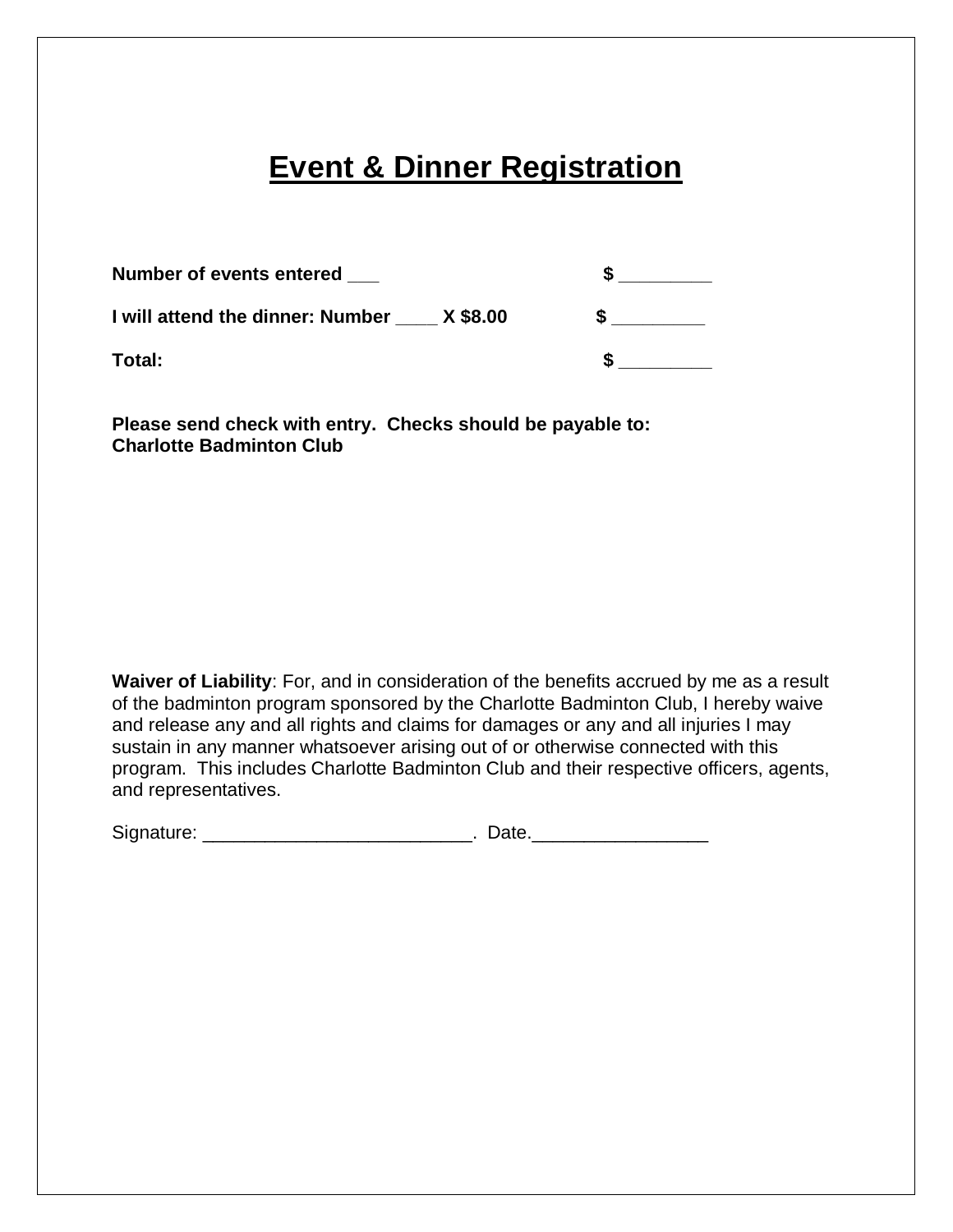## **Event & Dinner Registration**

| Number of events entered                  |  |  |  |
|-------------------------------------------|--|--|--|
| I will attend the dinner: Number X \$8.00 |  |  |  |
| Total:                                    |  |  |  |

**Please send check with entry. Checks should be payable to: Charlotte Badminton Club**

**Waiver of Liability**: For, and in consideration of the benefits accrued by me as a result of the badminton program sponsored by the Charlotte Badminton Club, I hereby waive and release any and all rights and claims for damages or any and all injuries I may sustain in any manner whatsoever arising out of or otherwise connected with this program. This includes Charlotte Badminton Club and their respective officers, agents, and representatives.

Signature: \_\_\_\_\_\_\_\_\_\_\_\_\_\_\_\_\_\_\_\_\_\_\_\_\_\_. Date.\_\_\_\_\_\_\_\_\_\_\_\_\_\_\_\_\_